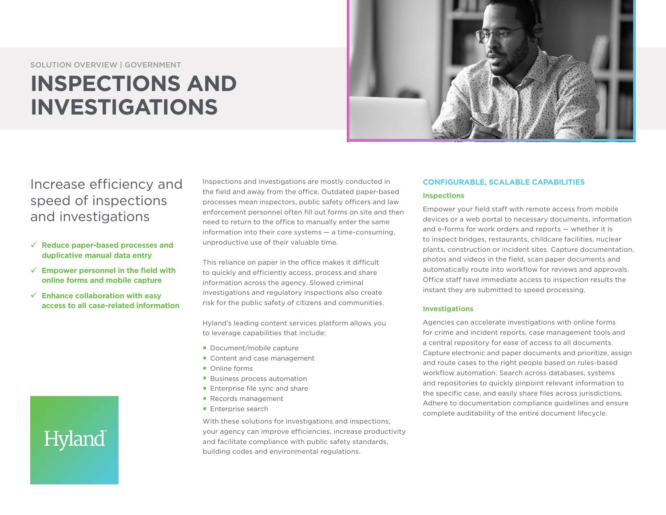#### SOLUTION OVERVIEW | GOVERNMENT

## **INSPECTIONS AND INVESTIGATIONS**



### Increase efficiency and speed of inspections and investigations

- 9 **Reduce paper-based processes and duplicative manual data entry**
- 9 **Empower personnel in the field with online forms and mobile capture**
- 9 **Enhance collaboration with easy access to all case-related information**

# Hyland

Inspections and investigations are mostly conducted in the field and away from the office. Outdated paper-based processes mean inspectors, public safety officers and law enforcement personnel often fill out forms on site and then need to return to the office to manually enter the same information into their core systems — a time-consuming, unproductive use of their valuable time.

This reliance on paper in the office makes it difficult to quickly and efficiently access, process and share information across the agency. Slowed criminal investigations and regulatory inspections also create risk for the public safety of citizens and communities.

Hyland's leading content services platform allows you to leverage capabilities that include:

- Document/mobile capture
- Content and case management
- Online forms
- **Business process automation**
- **Enterprise file sync and share**
- Records management
- **Enterprise search**

With these solutions for investigations and inspections, your agency can improve efficiencies, increase productivity and facilitate compliance with public safety standards, building codes and environmental regulations.

#### **CONFIGURABLE, SCALABLE CAPABILITIES Inspections**

Empower your field staff with remote access from mobile devices or a web portal to necessary documents, information and e-forms for work orders and reports — whether it is to inspect bridges, restaurants, childcare facilities, nuclear plants, construction or incident sites. Capture documentation, photos and videos in the field, scan paper documents and automatically route into workflow for reviews and approvals. Office staff have immediate access to inspection results the instant they are submitted to speed processing.

#### **Investigations**

Agencies can accelerate investigations with online forms for crime and incident reports, case management tools and a central repository for ease of access to all documents. Capture electronic and paper documents and prioritize, assign and route cases to the right people based on rules-based workflow automation. Search across databases, systems and repositories to quickly pinpoint relevant information to the specific case, and easily share files across jurisdictions. Adhere to documentation compliance guidelines and ensure complete auditability of the entire document lifecycle.